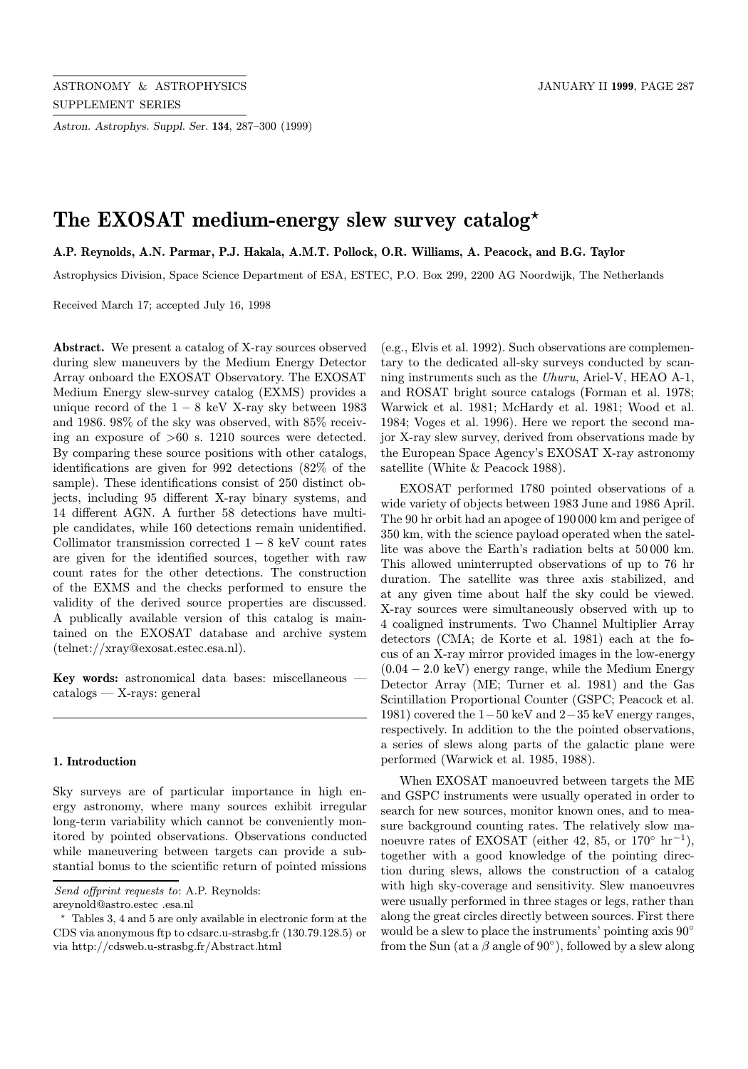Astron. Astrophys. Suppl. Ser. 134, 287–300 (1999)

# The EXOSAT medium-energy slew survey catalog\*

A.P. Reynolds, A.N. Parmar, P.J. Hakala, A.M.T. Pollock, O.R. Williams, A. Peacock, and B.G. Taylor

Astrophysics Division, Space Science Department of ESA, ESTEC, P.O. Box 299, 2200 AG Noordwijk, The Netherlands

Received March 17; accepted July 16, 1998

Abstract. We present a catalog of X-ray sources observed during slew maneuvers by the Medium Energy Detector Array onboard the EXOSAT Observatory. The EXOSAT Medium Energy slew-survey catalog (EXMS) provides a unique record of the  $1 - 8$  keV X-ray sky between 1983 and 1986. 98% of the sky was observed, with 85% receiving an exposure of >60 s. 1210 sources were detected. By comparing these source positions with other catalogs, identifications are given for 992 detections (82% of the sample). These identifications consist of 250 distinct objects, including 95 different X-ray binary systems, and 14 different AGN. A further 58 detections have multiple candidates, while 160 detections remain unidentified. Collimator transmission corrected  $1 - 8$  keV count rates are given for the identified sources, together with raw count rates for the other detections. The construction of the EXMS and the checks performed to ensure the validity of the derived source properties are discussed. A publically available version of this catalog is maintained on the EXOSAT database and archive system (telnet://xray@exosat.estec.esa.nl).

Key words: astronomical data bases: miscellaneous catalogs — X-rays: general

## 1. Introduction

Sky surveys are of particular importance in high energy astronomy, where many sources exhibit irregular long-term variability which cannot be conveniently monitored by pointed observations. Observations conducted while maneuvering between targets can provide a substantial bonus to the scientific return of pointed missions

areynold@astro.estec .esa.nl

(e.g., Elvis et al. 1992). Such observations are complementary to the dedicated all-sky surveys conducted by scanning instruments such as the Uhuru, Ariel-V, HEAO A-1, and ROSAT bright source catalogs (Forman et al. 1978; Warwick et al. 1981; McHardy et al. 1981; Wood et al. 1984; Voges et al. 1996). Here we report the second major X-ray slew survey, derived from observations made by the European Space Agency's EXOSAT X-ray astronomy satellite (White & Peacock 1988).

EXOSAT performed 1780 pointed observations of a wide variety of objects between 1983 June and 1986 April. The 90 hr orbit had an apogee of 190 000 km and perigee of 350 km, with the science payload operated when the satellite was above the Earth's radiation belts at 50 000 km. This allowed uninterrupted observations of up to 76 hr duration. The satellite was three axis stabilized, and at any given time about half the sky could be viewed. X-ray sources were simultaneously observed with up to 4 coaligned instruments. Two Channel Multiplier Array detectors (CMA; de Korte et al. 1981) each at the focus of an X-ray mirror provided images in the low-energy  $(0.04 - 2.0 \text{ keV})$  energy range, while the Medium Energy Detector Array (ME; Turner et al. 1981) and the Gas Scintillation Proportional Counter (GSPC; Peacock et al. 1981) covered the 1−50 keV and 2−35 keV energy ranges, respectively. In addition to the the pointed observations, a series of slews along parts of the galactic plane were performed (Warwick et al. 1985, 1988).

When EXOSAT manoeuvred between targets the ME and GSPC instruments were usually operated in order to search for new sources, monitor known ones, and to measure background counting rates. The relatively slow manoeuvre rates of EXOSAT (either 42, 85, or  $170^{\circ}$  hr<sup>-1</sup>), together with a good knowledge of the pointing direction during slews, allows the construction of a catalog with high sky-coverage and sensitivity. Slew manoeuvres were usually performed in three stages or legs, rather than along the great circles directly between sources. First there would be a slew to place the instruments' pointing axis 90° from the Sun (at a  $\beta$  angle of 90 $^{\circ}$ ), followed by a slew along

Send offprint requests to: A.P. Reynolds:

<sup>?</sup> Tables 3, 4 and 5 are only available in electronic form at the CDS via anonymous ftp to cdsarc.u-strasbg.fr (130.79.128.5) or via http://cdsweb.u-strasbg.fr/Abstract.html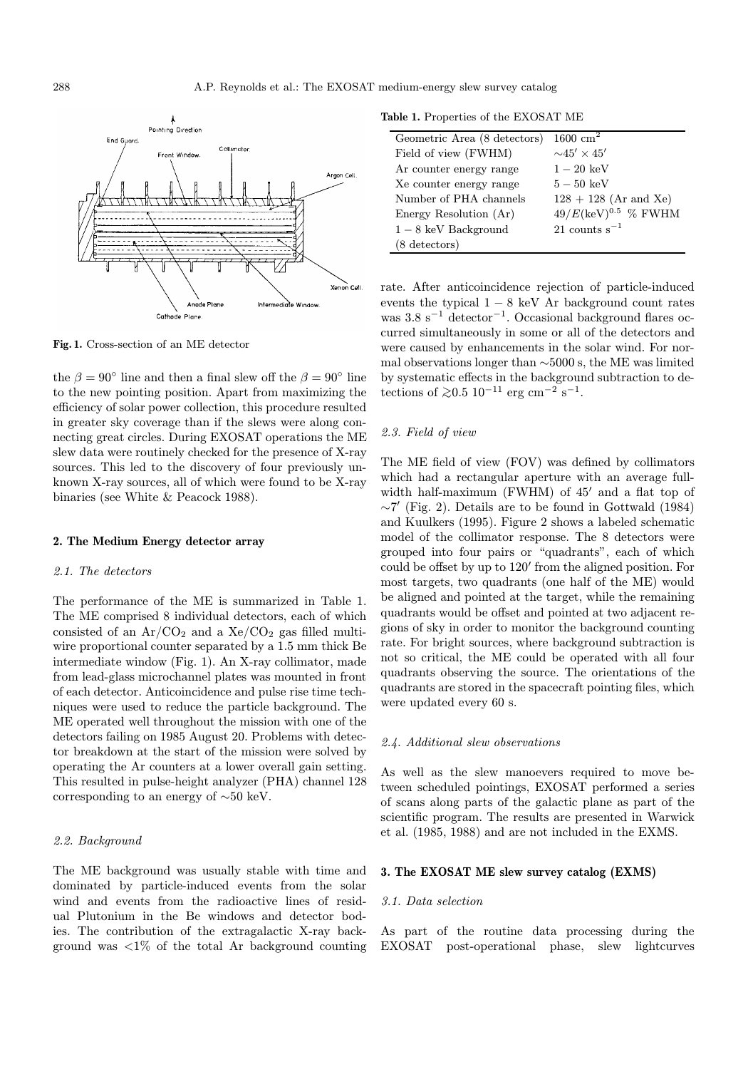

Fig. 1. Cross-section of an ME detector

the  $\beta = 90^{\circ}$  line and then a final slew off the  $\beta = 90^{\circ}$  line to the new pointing position. Apart from maximizing the efficiency of solar power collection, this procedure resulted in greater sky coverage than if the slews were along connecting great circles. During EXOSAT operations the ME slew data were routinely checked for the presence of X-ray sources. This led to the discovery of four previously unknown X-ray sources, all of which were found to be X-ray binaries (see White & Peacock 1988).

#### 2. The Medium Energy detector array

# 2.1. The detectors

The performance of the ME is summarized in Table 1. The ME comprised 8 individual detectors, each of which consisted of an  $Ar/CO<sub>2</sub>$  and a  $Xe/CO<sub>2</sub>$  gas filled multiwire proportional counter separated by a 1.5 mm thick Be intermediate window (Fig. 1). An X-ray collimator, made from lead-glass microchannel plates was mounted in front of each detector. Anticoincidence and pulse rise time techniques were used to reduce the particle background. The ME operated well throughout the mission with one of the detectors failing on 1985 August 20. Problems with detector breakdown at the start of the mission were solved by operating the Ar counters at a lower overall gain setting. This resulted in pulse-height analyzer (PHA) channel 128 corresponding to an energy of ∼50 keV.

## 2.2. Background

The ME background was usually stable with time and dominated by particle-induced events from the solar wind and events from the radioactive lines of residual Plutonium in the Be windows and detector bodies. The contribution of the extragalactic X-ray background was  $\langle 1\%$  of the total Ar background counting

Table 1. Properties of the EXOSAT ME

| Geometric Area (8 detectors) | $1600 \text{ cm}^2$             |
|------------------------------|---------------------------------|
| Field of view (FWHM)         | $\sim$ 45' $\times$ 45'         |
| Ar counter energy range      | $1-20~\mathrm{keV}$             |
| Xe counter energy range      | $5-50~\mathrm{keV}$             |
| Number of PHA channels       | $128 + 128$ (Ar and Xe)         |
| Energy Resolution (Ar)       | $49/E(\text{keV})^{0.5}$ % FWHM |
| $1-8$ keV Background         | 21 counts $s^{-1}$              |
| $(8 \text{ detectors})$      |                                 |
|                              |                                 |

rate. After anticoincidence rejection of particle-induced events the typical  $1 - 8$  keV Ar background count rates was  $3.8 \text{ s}^{-1}$  detector<sup>-1</sup>. Occasional background flares occurred simultaneously in some or all of the detectors and were caused by enhancements in the solar wind. For normal observations longer than ∼5000 s, the ME was limited by systematic effects in the background subtraction to detections of  $≥0.5 \ 10^{-11} \ \text{erg cm}^{-2} \ \text{s}^{-1}$ .

# 2.3. Field of view

The ME field of view (FOV) was defined by collimators which had a rectangular aperture with an average fullwidth half-maximum (FWHM) of  $45'$  and a flat top of  $\sim$ 7' (Fig. 2). Details are to be found in Gottwald (1984) and Kuulkers (1995). Figure 2 shows a labeled schematic model of the collimator response. The 8 detectors were grouped into four pairs or "quadrants", each of which could be offset by up to  $120'$  from the aligned position. For most targets, two quadrants (one half of the ME) would be aligned and pointed at the target, while the remaining quadrants would be offset and pointed at two adjacent regions of sky in order to monitor the background counting rate. For bright sources, where background subtraction is not so critical, the ME could be operated with all four quadrants observing the source. The orientations of the quadrants are stored in the spacecraft pointing files, which were updated every 60 s.

#### 2.4. Additional slew observations

As well as the slew manoevers required to move between scheduled pointings, EXOSAT performed a series of scans along parts of the galactic plane as part of the scientific program. The results are presented in Warwick et al. (1985, 1988) and are not included in the EXMS.

# 3. The EXOSAT ME slew survey catalog (EXMS)

#### 3.1. Data selection

As part of the routine data processing during the EXOSAT post-operational phase, slew lightcurves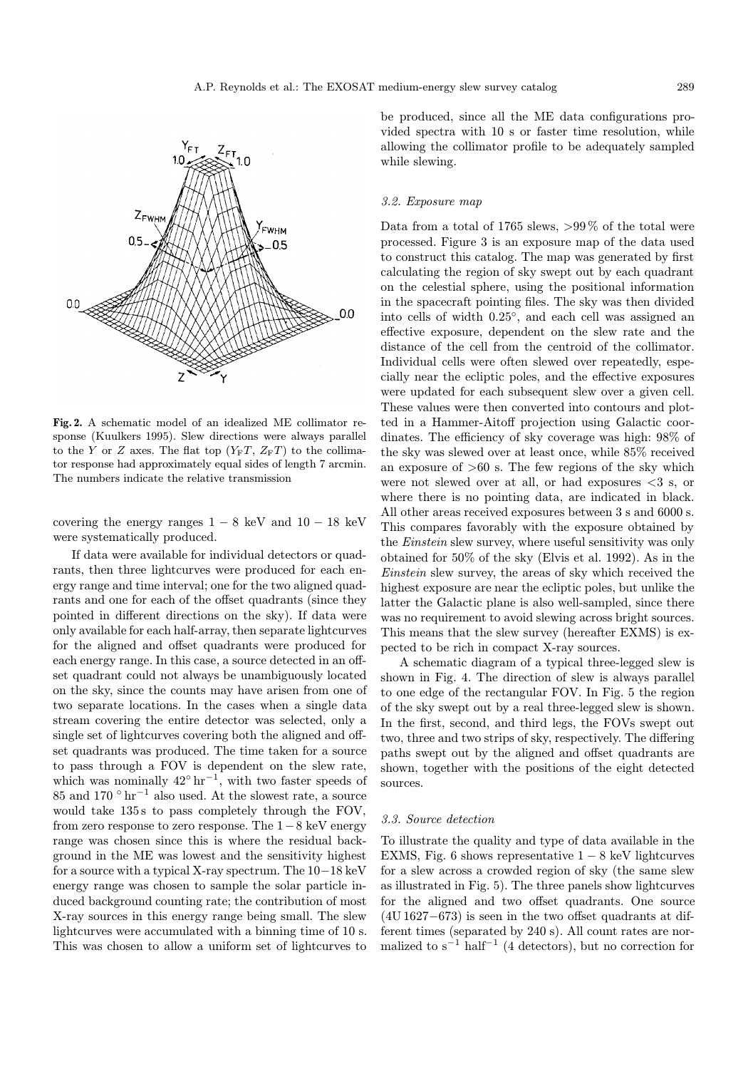

Fig. 2. A schematic model of an idealized ME collimator response (Kuulkers 1995). Slew directions were always parallel to the Y or Z axes. The flat top  $(Y_F T, Z_F T)$  to the collimator response had approximately equal sides of length 7 arcmin. The numbers indicate the relative transmission

covering the energy ranges  $1 - 8$  keV and  $10 - 18$  keV were systematically produced.

If data were available for individual detectors or quadrants, then three lightcurves were produced for each energy range and time interval; one for the two aligned quadrants and one for each of the offset quadrants (since they pointed in different directions on the sky). If data were only available for each half-array, then separate lightcurves for the aligned and offset quadrants were produced for each energy range. In this case, a source detected in an offset quadrant could not always be unambiguously located on the sky, since the counts may have arisen from one of two separate locations. In the cases when a single data stream covering the entire detector was selected, only a single set of lightcurves covering both the aligned and offset quadrants was produced. The time taken for a source to pass through a FOV is dependent on the slew rate, which was nominally  $42°$  hr<sup>-1</sup>, with two faster speeds of 85 and 170  $\degree$  hr<sup>-1</sup> also used. At the slowest rate, a source would take 135s to pass completely through the FOV, from zero response to zero response. The  $1-8$  keV energy range was chosen since this is where the residual background in the ME was lowest and the sensitivity highest for a source with a typical X-ray spectrum. The 10−18 keV energy range was chosen to sample the solar particle induced background counting rate; the contribution of most X-ray sources in this energy range being small. The slew lightcurves were accumulated with a binning time of 10 s. This was chosen to allow a uniform set of lightcurves to

be produced, since all the ME data configurations provided spectra with 10 s or faster time resolution, while allowing the collimator profile to be adequately sampled while slewing.

#### 3.2. Exposure map

Data from a total of 1765 slews, >99\% of the total were processed. Figure 3 is an exposure map of the data used to construct this catalog. The map was generated by first calculating the region of sky swept out by each quadrant on the celestial sphere, using the positional information in the spacecraft pointing files. The sky was then divided into cells of width 0.25◦, and each cell was assigned an effective exposure, dependent on the slew rate and the distance of the cell from the centroid of the collimator. Individual cells were often slewed over repeatedly, especially near the ecliptic poles, and the effective exposures were updated for each subsequent slew over a given cell. These values were then converted into contours and plotted in a Hammer-Aitoff projection using Galactic coordinates. The efficiency of sky coverage was high: 98% of the sky was slewed over at least once, while 85% received an exposure of  $>60$  s. The few regions of the sky which were not slewed over at all, or had exposures  $\langle 3 \text{ s}, \text{ or } \rangle$ where there is no pointing data, are indicated in black. All other areas received exposures between 3 s and 6000 s. This compares favorably with the exposure obtained by the *Einstein* slew survey, where useful sensitivity was only obtained for 50% of the sky (Elvis et al. 1992). As in the Einstein slew survey, the areas of sky which received the highest exposure are near the ecliptic poles, but unlike the latter the Galactic plane is also well-sampled, since there was no requirement to avoid slewing across bright sources. This means that the slew survey (hereafter EXMS) is expected to be rich in compact X-ray sources.

A schematic diagram of a typical three-legged slew is shown in Fig. 4. The direction of slew is always parallel to one edge of the rectangular FOV. In Fig. 5 the region of the sky swept out by a real three-legged slew is shown. In the first, second, and third legs, the FOVs swept out two, three and two strips of sky, respectively. The differing paths swept out by the aligned and offset quadrants are shown, together with the positions of the eight detected sources.

#### 3.3. Source detection

To illustrate the quality and type of data available in the EXMS, Fig. 6 shows representative  $1 - 8$  keV lightcurves for a slew across a crowded region of sky (the same slew as illustrated in Fig. 5). The three panels show lightcurves for the aligned and two offset quadrants. One source (4U 1627−673) is seen in the two offset quadrants at different times (separated by 240 s). All count rates are normalized to  $s^{-1}$  half<sup>-1</sup> (4 detectors), but no correction for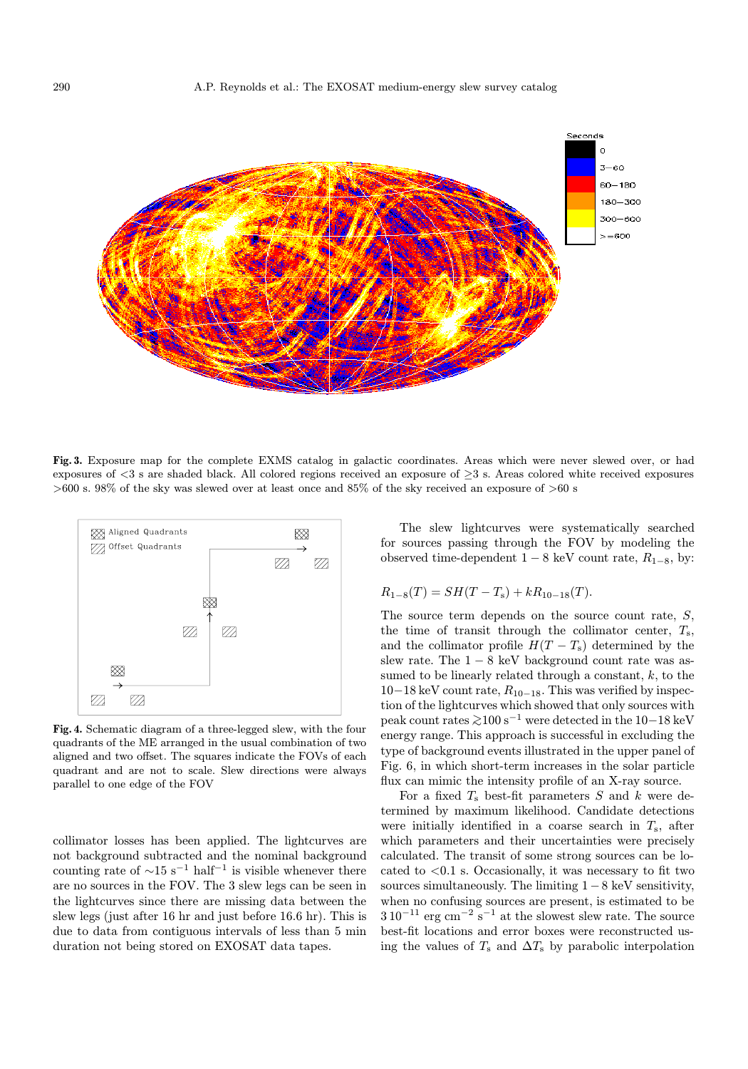

Fig. 3. Exposure map for the complete EXMS catalog in galactic coordinates. Areas which were never slewed over, or had exposures of <3 s are shaded black. All colored regions received an exposure of ≥3 s. Areas colored white received exposures >600 s. 98% of the sky was slewed over at least once and 85% of the sky received an exposure of >60 s



Fig. 4. Schematic diagram of a three-legged slew, with the four quadrants of the ME arranged in the usual combination of two aligned and two offset. The squares indicate the FOVs of each quadrant and are not to scale. Slew directions were always parallel to one edge of the FOV

collimator losses has been applied. The lightcurves are not background subtracted and the nominal background counting rate of  $\sim$ 15 s<sup>-1</sup> half<sup>-1</sup> is visible whenever there are no sources in the FOV. The 3 slew legs can be seen in the lightcurves since there are missing data between the slew legs (just after 16 hr and just before 16.6 hr). This is due to data from contiguous intervals of less than 5 min duration not being stored on EXOSAT data tapes.

The slew lightcurves were systematically searched for sources passing through the FOV by modeling the observed time-dependent  $1 - 8$  keV count rate,  $R_{1-8}$ , by:

$$
R_{1-8}(T) = SH(T - T_{s}) + kR_{10-18}(T).
$$

The source term depends on the source count rate, S, the time of transit through the collimator center,  $T_s$ , and the collimator profile  $H(T - T_s)$  determined by the slew rate. The  $1 - 8$  keV background count rate was assumed to be linearly related through a constant,  $k$ , to the  $10-18$  keV count rate,  $R_{10-18}$ . This was verified by inspection of the lightcurves which showed that only sources with peak count rates  $\gtrsim$ 100 s<sup>-1</sup> were detected in the 10−18 keV energy range. This approach is successful in excluding the type of background events illustrated in the upper panel of Fig. 6, in which short-term increases in the solar particle flux can mimic the intensity profile of an X-ray source.

For a fixed  $T_s$  best-fit parameters S and k were determined by maximum likelihood. Candidate detections were initially identified in a coarse search in  $T_s$ , after which parameters and their uncertainties were precisely calculated. The transit of some strong sources can be located to  $\langle 0.1 \rangle$  s. Occasionally, it was necessary to fit two sources simultaneously. The limiting 1−8 keV sensitivity, when no confusing sources are present, is estimated to be  $3\,10^{-11}$  erg  $\rm cm^{-2}$   $\rm s^{-1}$  at the slowest slew rate. The source best-fit locations and error boxes were reconstructed using the values of  $T_s$  and  $\Delta T_s$  by parabolic interpolation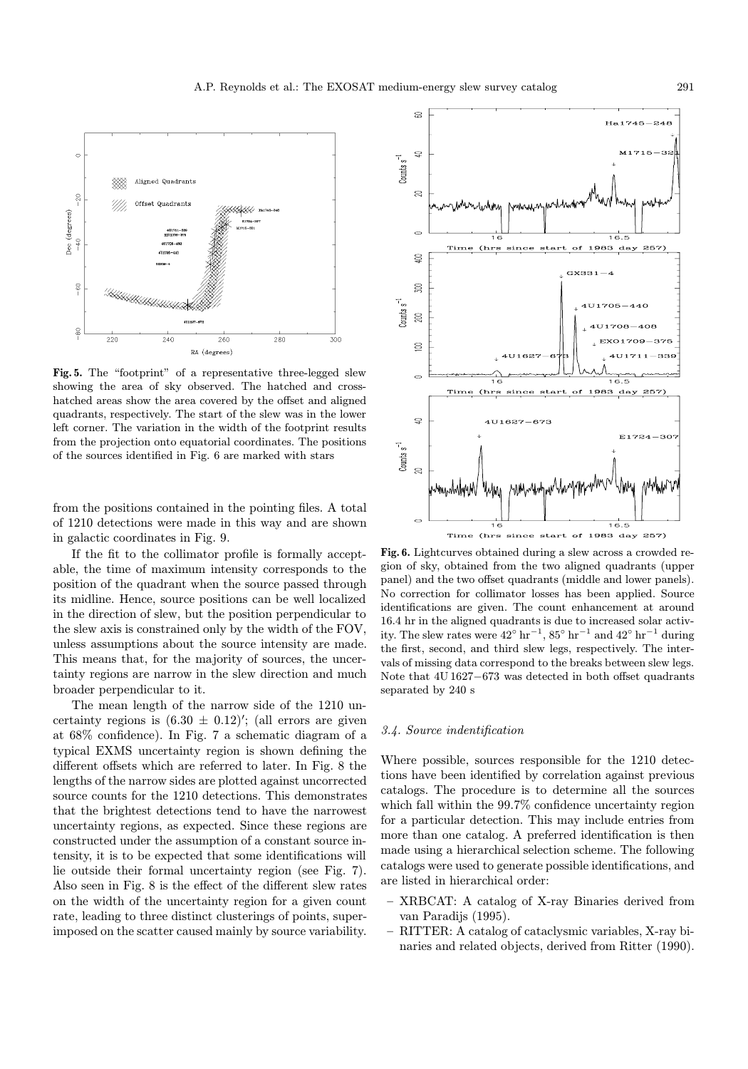

Fig. 5. The "footprint" of a representative three-legged slew showing the area of sky observed. The hatched and crosshatched areas show the area covered by the offset and aligned quadrants, respectively. The start of the slew was in the lower left corner. The variation in the width of the footprint results from the projection onto equatorial coordinates. The positions of the sources identified in Fig. 6 are marked with stars

from the positions contained in the pointing files. A total of 1210 detections were made in this way and are shown in galactic coordinates in Fig. 9.

If the fit to the collimator profile is formally acceptable, the time of maximum intensity corresponds to the position of the quadrant when the source passed through its midline. Hence, source positions can be well localized in the direction of slew, but the position perpendicular to the slew axis is constrained only by the width of the FOV, unless assumptions about the source intensity are made. This means that, for the majority of sources, the uncertainty regions are narrow in the slew direction and much broader perpendicular to it.

The mean length of the narrow side of the 1210 uncertainty regions is  $(6.30 \pm 0.12)'$ ; (all errors are given at 68% confidence). In Fig. 7 a schematic diagram of a typical EXMS uncertainty region is shown defining the different offsets which are referred to later. In Fig. 8 the lengths of the narrow sides are plotted against uncorrected source counts for the 1210 detections. This demonstrates that the brightest detections tend to have the narrowest uncertainty regions, as expected. Since these regions are constructed under the assumption of a constant source intensity, it is to be expected that some identifications will lie outside their formal uncertainty region (see Fig. 7). Also seen in Fig. 8 is the effect of the different slew rates on the width of the uncertainty region for a given count rate, leading to three distinct clusterings of points, superimposed on the scatter caused mainly by source variability.



Fig. 6. Lightcurves obtained during a slew across a crowded region of sky, obtained from the two aligned quadrants (upper panel) and the two offset quadrants (middle and lower panels). No correction for collimator losses has been applied. Source identifications are given. The count enhancement at around 16.4 hr in the aligned quadrants is due to increased solar activity. The slew rates were  $42^{\circ} \text{ hr}^{-1}$ ,  $85^{\circ} \text{ hr}^{-1}$  and  $42^{\circ} \text{ hr}^{-1}$  during the first, second, and third slew legs, respectively. The intervals of missing data correspond to the breaks between slew legs. Note that 4U 1627−673 was detected in both offset quadrants separated by 240 s

# 3.4. Source indentification

Where possible, sources responsible for the 1210 detections have been identified by correlation against previous catalogs. The procedure is to determine all the sources which fall within the  $99.7\%$  confidence uncertainty region for a particular detection. This may include entries from more than one catalog. A preferred identification is then made using a hierarchical selection scheme. The following catalogs were used to generate possible identifications, and are listed in hierarchical order:

- XRBCAT: A catalog of X-ray Binaries derived from van Paradijs (1995).
- RITTER: A catalog of cataclysmic variables, X-ray binaries and related objects, derived from Ritter (1990).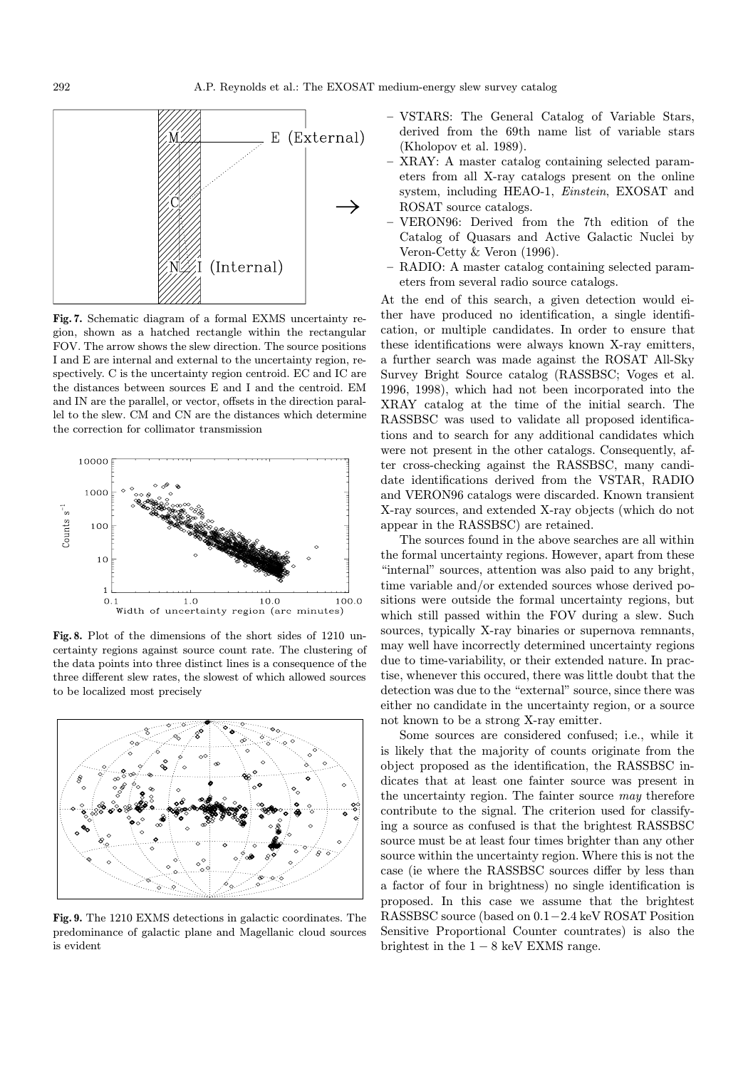

Fig. 7. Schematic diagram of a formal EXMS uncertainty region, shown as a hatched rectangle within the rectangular FOV. The arrow shows the slew direction. The source positions I and E are internal and external to the uncertainty region, respectively. C is the uncertainty region centroid. EC and IC are the distances between sources E and I and the centroid. EM and IN are the parallel, or vector, offsets in the direction parallel to the slew. CM and CN are the distances which determine the correction for collimator transmission



Fig. 8. Plot of the dimensions of the short sides of 1210 uncertainty regions against source count rate. The clustering of the data points into three distinct lines is a consequence of the three different slew rates, the slowest of which allowed sources to be localized most precisely



Fig. 9. The 1210 EXMS detections in galactic coordinates. The predominance of galactic plane and Magellanic cloud sources is evident

- VSTARS: The General Catalog of Variable Stars, derived from the 69th name list of variable stars (Kholopov et al. 1989).
- XRAY: A master catalog containing selected parameters from all X-ray catalogs present on the online system, including HEAO-1, Einstein, EXOSAT and ROSAT source catalogs.
- VERON96: Derived from the 7th edition of the Catalog of Quasars and Active Galactic Nuclei by Veron-Cetty & Veron (1996).
- RADIO: A master catalog containing selected parameters from several radio source catalogs.

At the end of this search, a given detection would either have produced no identification, a single identification, or multiple candidates. In order to ensure that these identifications were always known X-ray emitters, a further search was made against the ROSAT All-Sky Survey Bright Source catalog (RASSBSC; Voges et al. 1996, 1998), which had not been incorporated into the XRAY catalog at the time of the initial search. The RASSBSC was used to validate all proposed identifications and to search for any additional candidates which were not present in the other catalogs. Consequently, after cross-checking against the RASSBSC, many candidate identifications derived from the VSTAR, RADIO and VERON96 catalogs were discarded. Known transient X-ray sources, and extended X-ray objects (which do not appear in the RASSBSC) are retained.

The sources found in the above searches are all within the formal uncertainty regions. However, apart from these "internal" sources, attention was also paid to any bright, time variable and/or extended sources whose derived positions were outside the formal uncertainty regions, but which still passed within the FOV during a slew. Such sources, typically X-ray binaries or supernova remnants, may well have incorrectly determined uncertainty regions due to time-variability, or their extended nature. In practise, whenever this occured, there was little doubt that the detection was due to the "external" source, since there was either no candidate in the uncertainty region, or a source not known to be a strong X-ray emitter.

Some sources are considered confused; i.e., while it is likely that the majority of counts originate from the object proposed as the identification, the RASSBSC indicates that at least one fainter source was present in the uncertainty region. The fainter source may therefore contribute to the signal. The criterion used for classifying a source as confused is that the brightest RASSBSC source must be at least four times brighter than any other source within the uncertainty region. Where this is not the case (ie where the RASSBSC sources differ by less than a factor of four in brightness) no single identification is proposed. In this case we assume that the brightest RASSBSC source (based on 0.1−2.4 keV ROSAT Position Sensitive Proportional Counter countrates) is also the brightest in the  $1 - 8$  keV EXMS range.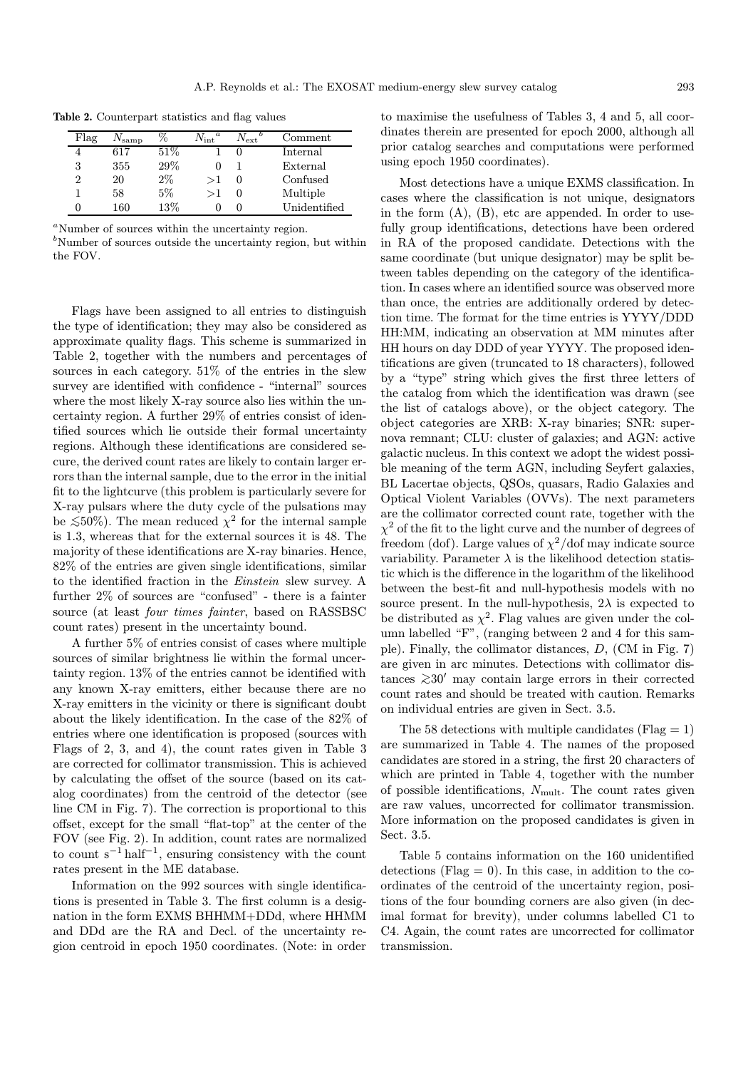| Flag | $\mathsf{V}_{\text{ samp}}$ | $\%$  | $\overline{N_{\rm int}}^a$ | $N_{\rm ext}$ | $\mathop{\mathsf{Comment}}$ |
|------|-----------------------------|-------|----------------------------|---------------|-----------------------------|
|      | 617                         | 51\%  |                            |               | Internal                    |
| 3    | 355                         | 29%   |                            |               | External                    |
| 2    | 20                          | $2\%$ | >1                         | O             | Confused                    |
|      | 58                          | 5%    | >1                         | U             | Multiple                    |
|      | 160                         | 13%   |                            | O             | Unidentified                |

Table 2. Counterpart statistics and flag values

<sup>a</sup>Number of sources within the uncertainty region.

<sup>b</sup>Number of sources outside the uncertainty region, but within the FOV.

Flags have been assigned to all entries to distinguish the type of identification; they may also be considered as approximate quality flags. This scheme is summarized in Table 2, together with the numbers and percentages of sources in each category. 51% of the entries in the slew survey are identified with confidence - "internal" sources where the most likely X-ray source also lies within the uncertainty region. A further 29% of entries consist of identified sources which lie outside their formal uncertainty regions. Although these identifications are considered secure, the derived count rates are likely to contain larger errors than the internal sample, due to the error in the initial fit to the lightcurve (this problem is particularly severe for X-ray pulsars where the duty cycle of the pulsations may be  $\leq 50\%$ ). The mean reduced  $\chi^2$  for the internal sample is 1.3, whereas that for the external sources it is 48. The majority of these identifications are X-ray binaries. Hence, 82% of the entries are given single identifications, similar to the identified fraction in the Einstein slew survey. A further 2% of sources are "confused" - there is a fainter source (at least four times fainter, based on RASSBSC count rates) present in the uncertainty bound.

A further 5% of entries consist of cases where multiple sources of similar brightness lie within the formal uncertainty region. 13% of the entries cannot be identified with any known X-ray emitters, either because there are no X-ray emitters in the vicinity or there is significant doubt about the likely identification. In the case of the 82% of entries where one identification is proposed (sources with Flags of 2, 3, and 4), the count rates given in Table 3 are corrected for collimator transmission. This is achieved by calculating the offset of the source (based on its catalog coordinates) from the centroid of the detector (see line CM in Fig. 7). The correction is proportional to this offset, except for the small "flat-top" at the center of the FOV (see Fig. 2). In addition, count rates are normalized to count  $s^{-1}$  half<sup>-1</sup>, ensuring consistency with the count rates present in the ME database.

Information on the 992 sources with single identifications is presented in Table 3. The first column is a designation in the form EXMS BHHMM+DDd, where HHMM and DDd are the RA and Decl. of the uncertainty region centroid in epoch 1950 coordinates. (Note: in order to maximise the usefulness of Tables 3, 4 and 5, all coordinates therein are presented for epoch 2000, although all prior catalog searches and computations were performed using epoch 1950 coordinates).

Most detections have a unique EXMS classification. In cases where the classification is not unique, designators in the form  $(A)$ ,  $(B)$ , etc are appended. In order to usefully group identifications, detections have been ordered in RA of the proposed candidate. Detections with the same coordinate (but unique designator) may be split between tables depending on the category of the identification. In cases where an identified source was observed more than once, the entries are additionally ordered by detection time. The format for the time entries is YYYY/DDD HH:MM, indicating an observation at MM minutes after HH hours on day DDD of year YYYY. The proposed identifications are given (truncated to 18 characters), followed by a "type" string which gives the first three letters of the catalog from which the identification was drawn (see the list of catalogs above), or the object category. The object categories are XRB: X-ray binaries; SNR: supernova remnant; CLU: cluster of galaxies; and AGN: active galactic nucleus. In this context we adopt the widest possible meaning of the term AGN, including Seyfert galaxies, BL Lacertae objects, QSOs, quasars, Radio Galaxies and Optical Violent Variables (OVVs). The next parameters are the collimator corrected count rate, together with the  $\chi^2$  of the fit to the light curve and the number of degrees of freedom (dof). Large values of  $\chi^2$ /dof may indicate source variability. Parameter  $\lambda$  is the likelihood detection statistic which is the difference in the logarithm of the likelihood between the best-fit and null-hypothesis models with no source present. In the null-hypothesis,  $2\lambda$  is expected to be distributed as  $\chi^2$ . Flag values are given under the column labelled "F", (ranging between 2 and 4 for this sample). Finally, the collimator distances, D, (CM in Fig. 7) are given in arc minutes. Detections with collimator distances  $≥30'$  may contain large errors in their corrected count rates and should be treated with caution. Remarks on individual entries are given in Sect. 3.5.

The 58 detections with multiple candidates ( $Flag = 1$ ) are summarized in Table 4. The names of the proposed candidates are stored in a string, the first 20 characters of which are printed in Table 4, together with the number of possible identifications,  $N_{\text{mult}}$ . The count rates given are raw values, uncorrected for collimator transmission. More information on the proposed candidates is given in Sect. 3.5.

Table 5 contains information on the 160 unidentified detections (Flag  $= 0$ ). In this case, in addition to the coordinates of the centroid of the uncertainty region, positions of the four bounding corners are also given (in decimal format for brevity), under columns labelled C1 to C4. Again, the count rates are uncorrected for collimator transmission.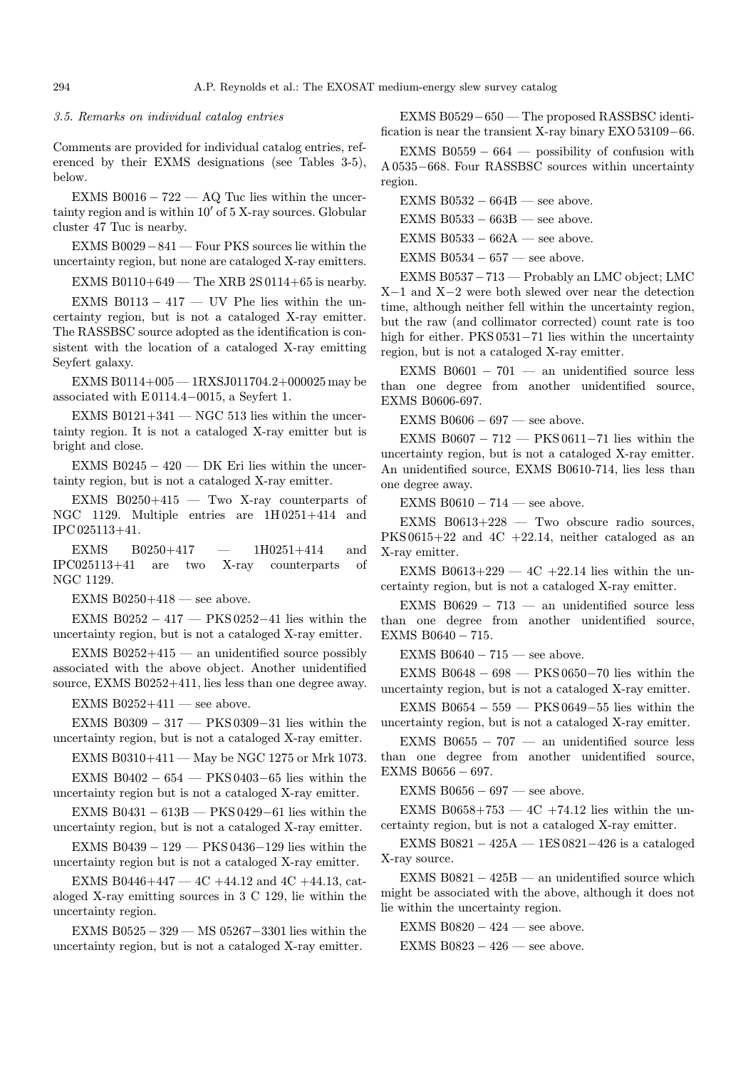#### 3.5. Remarks on individual catalog entries

Comments are provided for individual catalog entries, referenced by their EXMS designations (see Tables 3-5), below.

EXMS B0016  $-722$  — AQ Tuc lies within the uncertainty region and is within  $10'$  of  $5$  X-ray sources. Globular cluster 47 Tuc is nearby.

EXMS B0029−841 — Four PKS sources lie within the uncertainty region, but none are cataloged X-ray emitters.

EXMS B0110+649 — The XRB  $2S$  0114+65 is nearby.

EXMS B0113  $-417$  — UV Phe lies within the uncertainty region, but is not a cataloged X-ray emitter. The RASSBSC source adopted as the identification is consistent with the location of a cataloged X-ray emitting Seyfert galaxy.

EXMS B0114+005 — 1RXSJ011704.2+000025 may be associated with E 0114.4−0015, a Seyfert 1.

EXMS B0121+341  $-$  NGC 513 lies within the uncertainty region. It is not a cataloged X-ray emitter but is bright and close.

EXMS B0245  $-$  420  $-$  DK Eri lies within the uncertainty region, but is not a cataloged X-ray emitter.

EXMS B0250+415  $-$  Two X-ray counterparts of NGC 1129. Multiple entries are 1H 0251+414 and IPC 025113+41.

EXMS B0250+417 — 1H0251+414 and IPC025113+41 are two X-ray counterparts of NGC 1129.

EXMS B0250 $+418$  — see above.

EXMS B0252  $-417$  — PKS 0252-41 lies within the uncertainty region, but is not a cataloged X-ray emitter.

EXMS  $B0252+415$  — an unidentified source possibly associated with the above object. Another unidentified source, EXMS B0252+411, lies less than one degree away.

EXMS  $B0252+411$  — see above.

EXMS B0309 − 317 — PKS 0309−31 lies within the uncertainty region, but is not a cataloged X-ray emitter.

EXMS B0310+411 — May be NGC 1275 or Mrk 1073.

EXMS B0402 − 654 — PKS 0403−65 lies within the uncertainty region but is not a cataloged X-ray emitter.

EXMS B0431 − 613B — PKS 0429−61 lies within the uncertainty region, but is not a cataloged X-ray emitter.

EXMS B0439 − 129 — PKS 0436−129 lies within the uncertainty region but is not a cataloged X-ray emitter.

EXMS B0446+447  $-$  4C +44.12 and 4C +44.13, cataloged X-ray emitting sources in 3 C 129, lie within the uncertainty region.

EXMS B0525−329 — MS 05267−3301 lies within the uncertainty region, but is not a cataloged X-ray emitter.

EXMS B0529−650 — The proposed RASSBSC identification is near the transient X-ray binary EXO 53109−66.

EXMS B0559  $-664$  — possibility of confusion with A 0535−668. Four RASSBSC sources within uncertainty region.

EXMS B0532  $-$  664B — see above. EXMS B0533  $-$  663B  $-$  see above. EXMS B0533  $-662A$  — see above. EXMS B0534  $-$  657  $-$  see above.

EXMS B0537−713 — Probably an LMC object; LMC X−1 and X−2 were both slewed over near the detection time, although neither fell within the uncertainty region, but the raw (and collimator corrected) count rate is too high for either. PKS 0531−71 lies within the uncertainty region, but is not a cataloged X-ray emitter.

EXMS B0601  $-701$  — an unidentified source less than one degree from another unidentified source, EXMS B0606-697.

EXMS B0606  $-697$  — see above.

EXMS B0607 –  $712$  — PKS 0611–71 lies within the uncertainty region, but is not a cataloged X-ray emitter. An unidentified source, EXMS B0610-714, lies less than one degree away.

EXMS B0610  $-714$  — see above.

EXMS  $B0613+228$  — Two obscure radio sources,  $PKS 0615+22$  and  $4C +22.14$ , neither cataloged as an X-ray emitter.

EXMS B0613+229  $-$  4C +22.14 lies within the uncertainty region, but is not a cataloged X-ray emitter.

EXMS B0629 − 713 — an unidentified source less than one degree from another unidentified source, EXMS B0640 − 715.

EXMS B0640  $-715$  — see above.

EXMS B0648 − 698  $-$  PKS 0650-70 lies within the uncertainty region, but is not a cataloged X-ray emitter.

EXMS B0654  $-559$  — PKS 0649-55 lies within the uncertainty region, but is not a cataloged X-ray emitter.

EXMS B0655  $-707$  — an unidentified source less than one degree from another unidentified source, EXMS B0656 − 697.

EXMS B0656  $-697$  — see above.

EXMS B0658+753  $-$  4C +74.12 lies within the uncertainty region, but is not a cataloged X-ray emitter.

EXMS B0821  $-$  425A  $-$  1ES 0821 $-$ 426 is a cataloged X-ray source.

EXMS  $B0821 - 425B$  — an unidentified source which might be associated with the above, although it does not lie within the uncertainty region.

EXMS B0820  $-424$  — see above.

EXMS B0823  $-426$  — see above.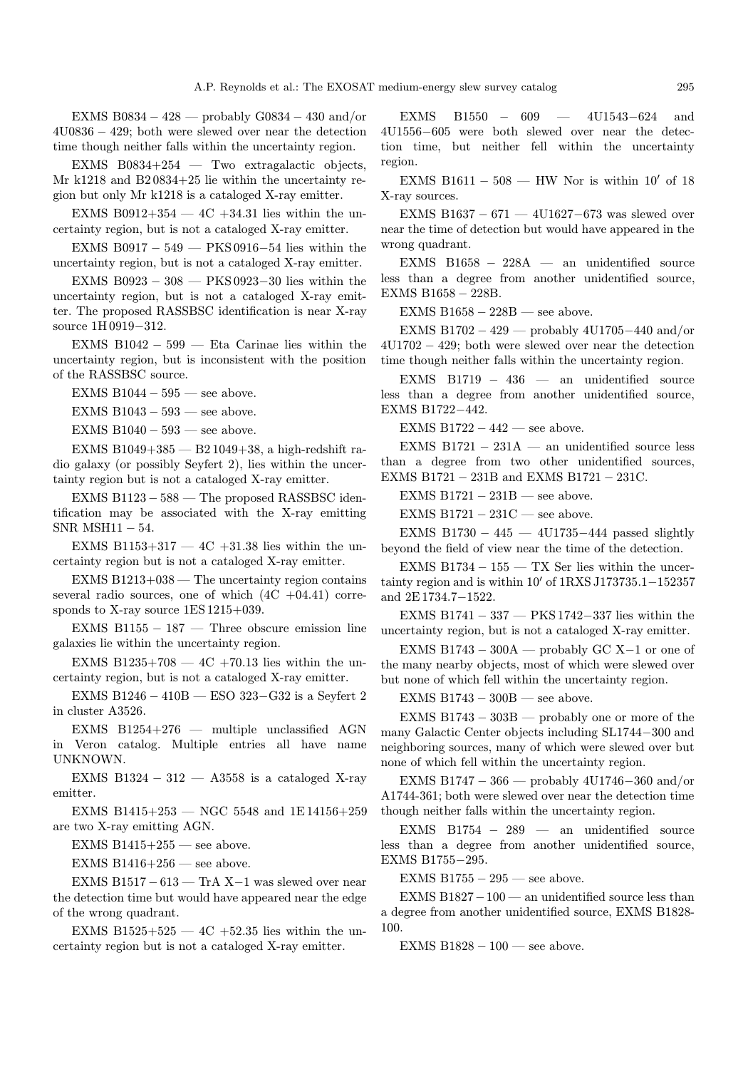EXMS B0834 − 428 — probably G0834 − 430 and/or 4U0836 − 429; both were slewed over near the detection time though neither falls within the uncertainty region.

EXMS B0834+254  $-$  Two extragalactic objects, Mr k1218 and B2 0834+25 lie within the uncertainty region but only Mr k1218 is a cataloged X-ray emitter.

EXMS B0912+354  $-$  4C +34.31 lies within the uncertainty region, but is not a cataloged X-ray emitter.

EXMS B0917 − 549 — PKS 0916−54 lies within the uncertainty region, but is not a cataloged X-ray emitter.

EXMS B0923 − 308 — PKS 0923−30 lies within the uncertainty region, but is not a cataloged X-ray emitter. The proposed RASSBSC identification is near X-ray source 1H 0919−312.

EXMS B1042 − 599 — Eta Carinae lies within the uncertainty region, but is inconsistent with the position of the RASSBSC source.

EXMS B1044 − 595 — see above.

EXMS B1043  $-$  593  $-$  see above.

EXMS B1040  $-593$  — see above.

EXMS B1049+385 — B2 1049+38, a high-redshift radio galaxy (or possibly Seyfert 2), lies within the uncertainty region but is not a cataloged X-ray emitter.

EXMS B1123 − 588 — The proposed RASSBSC identification may be associated with the X-ray emitting SNR MSH11 − 54.

EXMS B1153+317  $-$  4C +31.38 lies within the uncertainty region but is not a cataloged X-ray emitter.

 $EXMS B1213+038$  — The uncertainty region contains several radio sources, one of which  $(4C +04.41)$  corresponds to X-ray source 1ES 1215+039.

EXMS B1155  $-187$  — Three obscure emission line galaxies lie within the uncertainty region.

EXMS B1235+708  $-$  4C +70.13 lies within the uncertainty region, but is not a cataloged X-ray emitter.

EXMS B1246 − 410B — ESO 323−G32 is a Seyfert 2 in cluster A3526.

EXMS B1254+276 — multiple unclassified AGN in Veron catalog. Multiple entries all have name UNKNOWN.

EXMS B1324  $-312 - A3558$  is a cataloged X-ray emitter.

EXMS B1415+253 — NGC 5548 and  $1E14156+259$ are two X-ray emitting AGN.

EXMS  $B1415+255$  — see above.

EXMS  $B1416+256$  — see above.

EXMS B1517 − 613 — TrA X−1 was slewed over near the detection time but would have appeared near the edge of the wrong quadrant.

EXMS B1525+525  $-$  4C +52.35 lies within the uncertainty region but is not a cataloged X-ray emitter.

EXMS B1550 − 609 — 4U1543−624 and 4U1556−605 were both slewed over near the detection time, but neither fell within the uncertainty region.

EXMS B1611 – 508 — HW Nor is within  $10'$  of 18 X-ray sources.

EXMS B1637 − 671 — 4U1627−673 was slewed over near the time of detection but would have appeared in the wrong quadrant.

EXMS B1658 − 228A — an unidentified source less than a degree from another unidentified source, EXMS B1658 − 228B.

EXMS B1658  $-$  228B  $-$  see above.

EXMS B1702 − 429 — probably 4U1705−440 and/or 4U1702 − 429; both were slewed over near the detection time though neither falls within the uncertainty region.

EXMS B1719 − 436 — an unidentified source less than a degree from another unidentified source, EXMS B1722−442.

EXMS B1722  $-442$  — see above.

EXMS B1721  $-$  231A  $-$  an unidentified source less than a degree from two other unidentified sources, EXMS B1721 − 231B and EXMS B1721 − 231C.

EXMS B1721  $-$  231B — see above.

EXMS B1721  $-$  231C — see above.

EXMS B1730  $-445 - 4U1735 - 444$  passed slightly beyond the field of view near the time of the detection.

EXMS B1734  $-155 - TX$  Ser lies within the uncertainty region and is within  $10'$  of  $1RXS J173735.1–152357$ and 2E 1734.7−1522.

EXMS B1741 − 337 — PKS 1742−337 lies within the uncertainty region, but is not a cataloged X-ray emitter.

EXMS B1743 – 300A — probably GC X–1 or one of the many nearby objects, most of which were slewed over but none of which fell within the uncertainty region.

EXMS B1743  $-$  300B — see above.

EXMS B1743 − 303B — probably one or more of the many Galactic Center objects including SL1744−300 and neighboring sources, many of which were slewed over but none of which fell within the uncertainty region.

EXMS B1747 − 366 — probably 4U1746−360 and/or A1744-361; both were slewed over near the detection time though neither falls within the uncertainty region.

EXMS B1754  $-$  289  $-$  an unidentified source less than a degree from another unidentified source, EXMS B1755−295.

EXMS B1755  $-295$  — see above.

EXMS B1827−100 — an unidentified source less than a degree from another unidentified source, EXMS B1828- 100.

EXMS B1828  $-100$  — see above.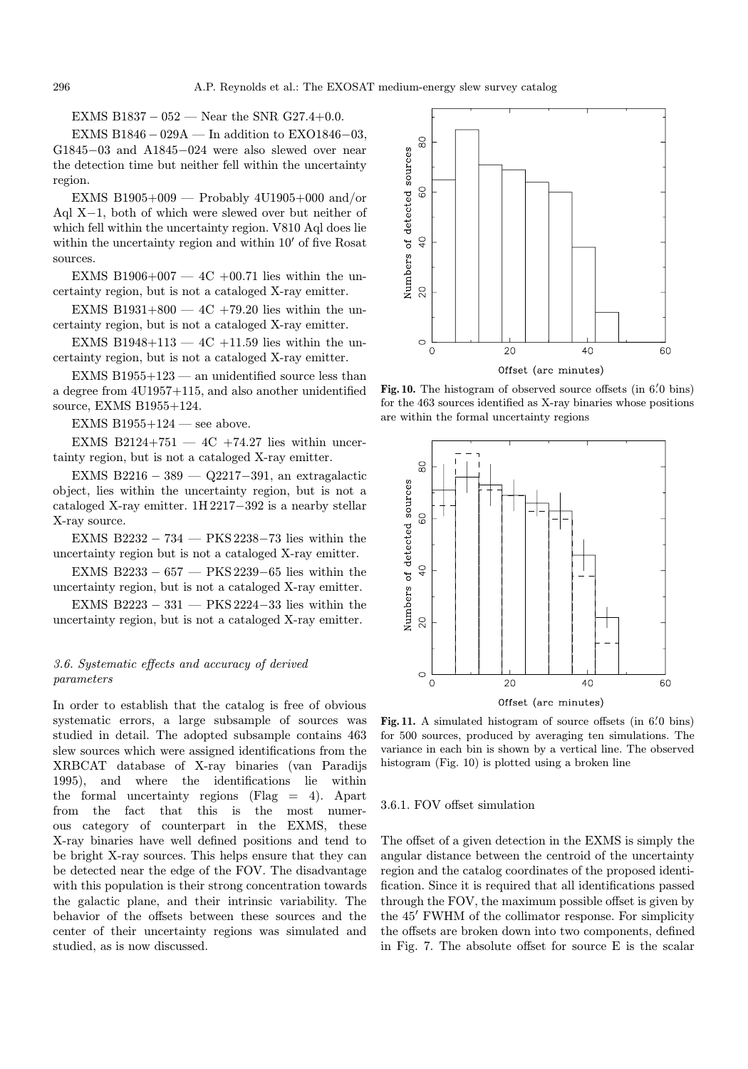EXMS B1837 – 052 — Near the SNR G27.4+0.0.

EXMS B1846  $-$  029A — In addition to EXO1846 $-$ 03. G1845−03 and A1845−024 were also slewed over near the detection time but neither fell within the uncertainty region.

EXMS B1905+009 — Probably  $4U1905+000$  and/or Aql X−1, both of which were slewed over but neither of which fell within the uncertainty region. V810 Aql does lie within the uncertainty region and within  $10'$  of five Rosat sources.

EXMS B1906+007  $-$  4C +00.71 lies within the uncertainty region, but is not a cataloged X-ray emitter.

EXMS B1931+800  $-$  4C +79.20 lies within the uncertainty region, but is not a cataloged X-ray emitter.

EXMS B1948+113  $-$  4C +11.59 lies within the uncertainty region, but is not a cataloged X-ray emitter.

EXMS  $B1955+123$  — an unidentified source less than a degree from 4U1957+115, and also another unidentified source, EXMS B1955+124.

EXMS B1955 $+124$  — see above.

EXMS B2124+751  $-$  4C +74.27 lies within uncertainty region, but is not a cataloged X-ray emitter.

EXMS B2216 − 389 — Q2217−391, an extragalactic object, lies within the uncertainty region, but is not a cataloged X-ray emitter. 1H 2217−392 is a nearby stellar X-ray source.

EXMS B2232 − 734 — PKS 2238−73 lies within the uncertainty region but is not a cataloged X-ray emitter.

EXMS B2233 –  $657$  — PKS 2239–65 lies within the uncertainty region, but is not a cataloged X-ray emitter.

EXMS B2223 − 331 — PKS 2224−33 lies within the uncertainty region, but is not a cataloged X-ray emitter.

# 3.6. Systematic effects and accuracy of derived parameters

In order to establish that the catalog is free of obvious systematic errors, a large subsample of sources was studied in detail. The adopted subsample contains 463 slew sources which were assigned identifications from the XRBCAT database of X-ray binaries (van Paradijs 1995), and where the identifications lie within the formal uncertainty regions (Flag = 4). Apart from the fact that this is the most numerous category of counterpart in the EXMS, these X-ray binaries have well defined positions and tend to be bright X-ray sources. This helps ensure that they can be detected near the edge of the FOV. The disadvantage with this population is their strong concentration towards the galactic plane, and their intrinsic variability. The behavior of the offsets between these sources and the center of their uncertainty regions was simulated and studied, as is now discussed.



Fig. 10. The histogram of observed source offsets (in 6.0 bins) for the 463 sources identified as X-ray binaries whose positions are within the formal uncertainty regions



Fig. 11. A simulated histogram of source offsets (in 6.0 bins) for 500 sources, produced by averaging ten simulations. The variance in each bin is shown by a vertical line. The observed histogram (Fig. 10) is plotted using a broken line

# 3.6.1. FOV offset simulation

The offset of a given detection in the EXMS is simply the angular distance between the centroid of the uncertainty region and the catalog coordinates of the proposed identification. Since it is required that all identifications passed through the FOV, the maximum possible offset is given by the 45' FWHM of the collimator response. For simplicity the offsets are broken down into two components, defined in Fig. 7. The absolute offset for source E is the scalar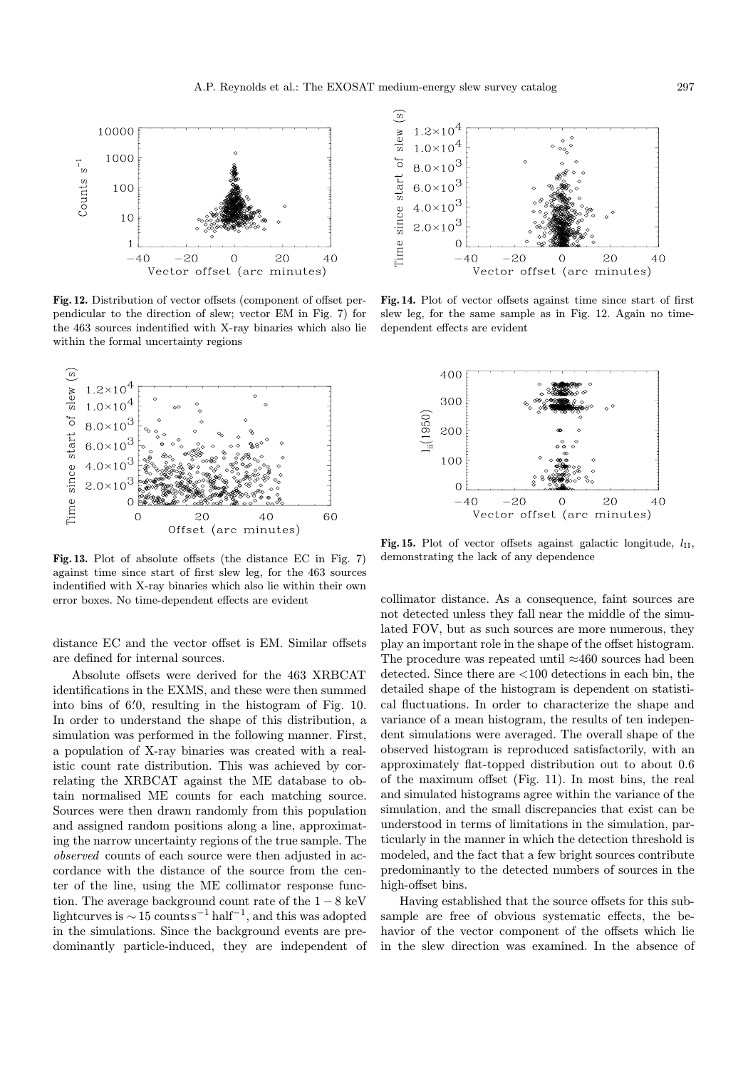

Fig. 12. Distribution of vector offsets (component of offset perpendicular to the direction of slew; vector EM in Fig. 7) for the 463 sources indentified with X-ray binaries which also lie within the formal uncertainty regions



Fig. 13. Plot of absolute offsets (the distance EC in Fig. 7) against time since start of first slew leg, for the 463 sources indentified with X-ray binaries which also lie within their own error boxes. No time-dependent effects are evident

distance EC and the vector offset is EM. Similar offsets are defined for internal sources.

Absolute offsets were derived for the 463 XRBCAT identifications in the EXMS, and these were then summed into bins of 6. 0 0, resulting in the histogram of Fig. 10. In order to understand the shape of this distribution, a simulation was performed in the following manner. First, a population of X-ray binaries was created with a realistic count rate distribution. This was achieved by correlating the XRBCAT against the ME database to obtain normalised ME counts for each matching source. Sources were then drawn randomly from this population and assigned random positions along a line, approximating the narrow uncertainty regions of the true sample. The observed counts of each source were then adjusted in accordance with the distance of the source from the center of the line, using the ME collimator response function. The average background count rate of the  $1-8 \text{ keV}$ lightcurves is  $\sim$  15 counts s<sup>-1</sup> half<sup>-1</sup>, and this was adopted in the simulations. Since the background events are predominantly particle-induced, they are independent of



Fig. 14. Plot of vector offsets against time since start of first slew leg, for the same sample as in Fig. 12. Again no timedependent effects are evident



Fig. 15. Plot of vector offsets against galactic longitude,  $l_{\rm II}$ , demonstrating the lack of any dependence

collimator distance. As a consequence, faint sources are not detected unless they fall near the middle of the simulated FOV, but as such sources are more numerous, they play an important role in the shape of the offset histogram. The procedure was repeated until ≈460 sources had been detected. Since there are <100 detections in each bin, the detailed shape of the histogram is dependent on statistical fluctuations. In order to characterize the shape and variance of a mean histogram, the results of ten independent simulations were averaged. The overall shape of the observed histogram is reproduced satisfactorily, with an approximately flat-topped distribution out to about 0.6 of the maximum offset (Fig. 11). In most bins, the real and simulated histograms agree within the variance of the simulation, and the small discrepancies that exist can be understood in terms of limitations in the simulation, particularly in the manner in which the detection threshold is modeled, and the fact that a few bright sources contribute predominantly to the detected numbers of sources in the high-offset bins.

Having established that the source offsets for this subsample are free of obvious systematic effects, the behavior of the vector component of the offsets which lie in the slew direction was examined. In the absence of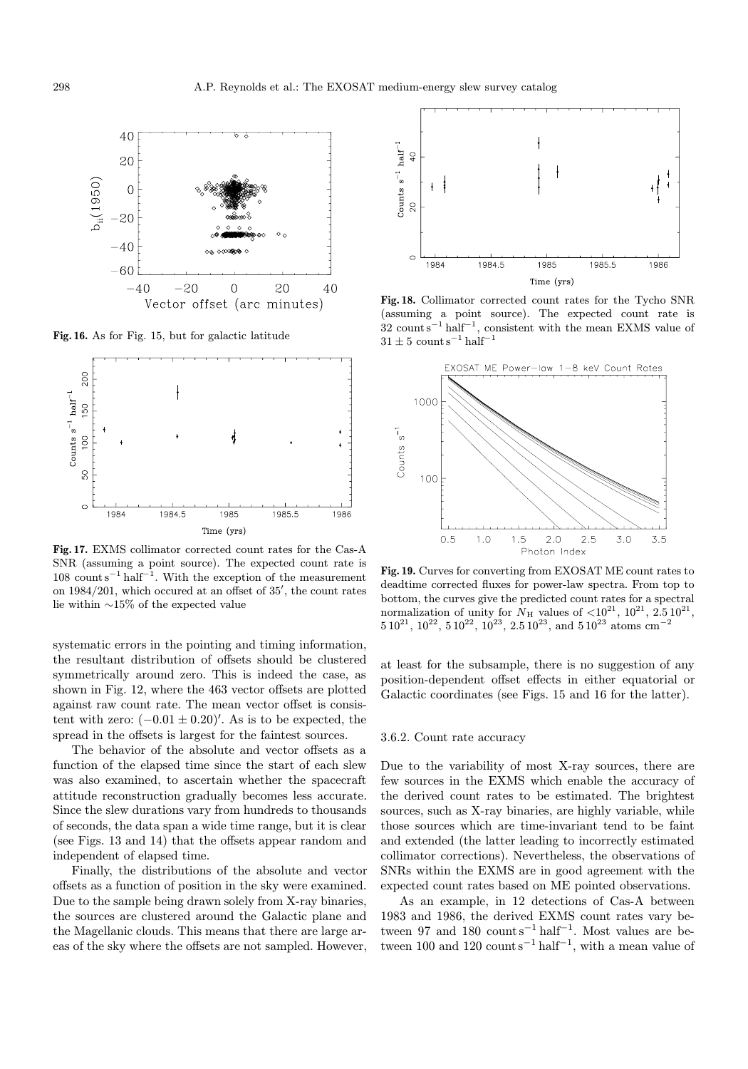

Fig. 16. As for Fig. 15, but for galactic latitude



Fig. 17. EXMS collimator corrected count rates for the Cas-A SNR (assuming a point source). The expected count rate is  $108$  count s<sup>-1</sup> half<sup>-1</sup>. With the exception of the measurement on  $1984/201$ , which occured at an offset of  $35'$ , the count rates lie within ∼15% of the expected value

systematic errors in the pointing and timing information, the resultant distribution of offsets should be clustered symmetrically around zero. This is indeed the case, as shown in Fig. 12, where the 463 vector offsets are plotted against raw count rate. The mean vector offset is consistent with zero:  $(-0.01 \pm 0.20)'$ . As is to be expected, the spread in the offsets is largest for the faintest sources.

The behavior of the absolute and vector offsets as a function of the elapsed time since the start of each slew was also examined, to ascertain whether the spacecraft attitude reconstruction gradually becomes less accurate. Since the slew durations vary from hundreds to thousands of seconds, the data span a wide time range, but it is clear (see Figs. 13 and 14) that the offsets appear random and independent of elapsed time.

Finally, the distributions of the absolute and vector offsets as a function of position in the sky were examined. Due to the sample being drawn solely from X-ray binaries, the sources are clustered around the Galactic plane and the Magellanic clouds. This means that there are large areas of the sky where the offsets are not sampled. However,



Fig. 18. Collimator corrected count rates for the Tycho SNR (assuming a point source). The expected count rate is  $32$  count s<sup>-1</sup> half<sup>-1</sup>, consistent with the mean EXMS value of  $31 \pm 5$  count s<sup>-1</sup> half<sup>-1</sup>



Fig. 19. Curves for converting from EXOSAT ME count rates to deadtime corrected fluxes for power-law spectra. From top to bottom, the curves give the predicted count rates for a spectral normalization of unity for  $N_H$  values of  $\langle 10^{21}, 10^{21}, 2.5 10^{21},$  $510^{21}$ ,  $10^{22}$ ,  $510^{22}$ ,  $10^{23}$ ,  $2.510^{23}$ , and  $510^{23}$  atoms cm<sup>-2</sup>

at least for the subsample, there is no suggestion of any position-dependent offset effects in either equatorial or Galactic coordinates (see Figs. 15 and 16 for the latter).

# 3.6.2. Count rate accuracy

Due to the variability of most X-ray sources, there are few sources in the EXMS which enable the accuracy of the derived count rates to be estimated. The brightest sources, such as X-ray binaries, are highly variable, while those sources which are time-invariant tend to be faint and extended (the latter leading to incorrectly estimated collimator corrections). Nevertheless, the observations of SNRs within the EXMS are in good agreement with the expected count rates based on ME pointed observations.

As an example, in 12 detections of Cas-A between 1983 and 1986, the derived EXMS count rates vary between 97 and 180 count s<sup>-1</sup> half<sup>-1</sup>. Most values are between 100 and 120 count s<sup>-1</sup> half<sup>-1</sup>, with a mean value of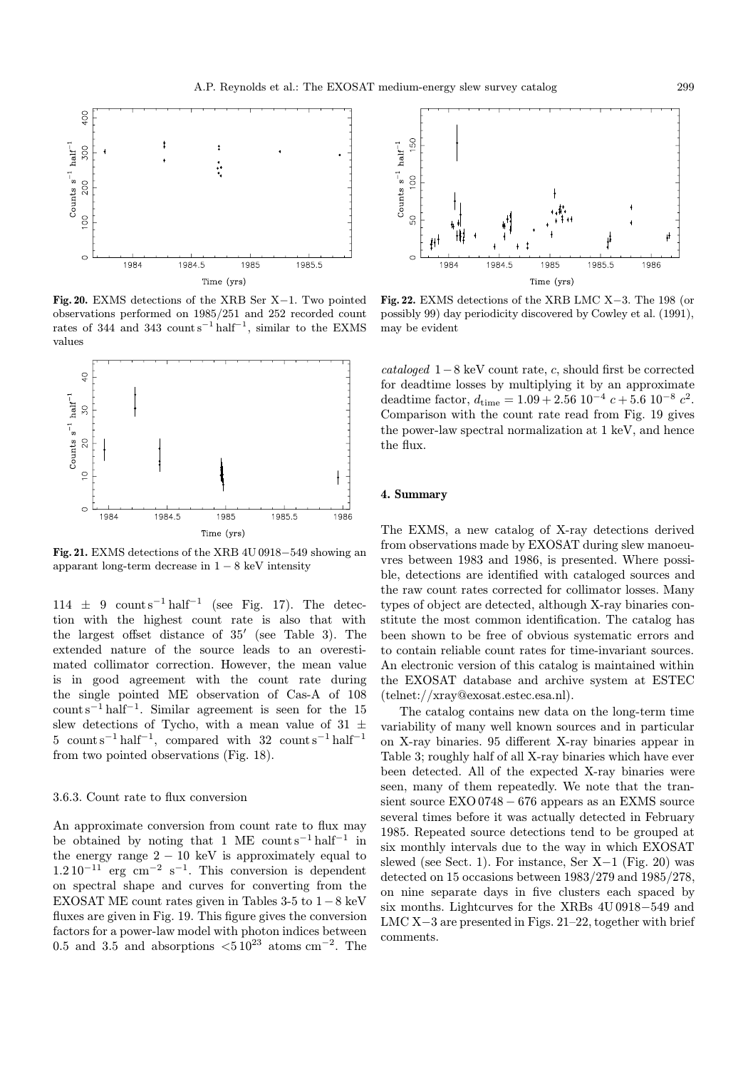

Fig. 20. EXMS detections of the XRB Ser X−1. Two pointed observations performed on 1985/251 and 252 recorded count rates of 344 and 343 count s<sup>-1</sup> half<sup>-1</sup>, similar to the EXMS values



Fig. 21. EXMS detections of the XRB 4U 0918−549 showing an apparant long-term decrease in  $1 - 8$  keV intensity

 $114 \pm 9$  count s<sup>-1</sup> half<sup>-1</sup> (see Fig. 17). The detection with the highest count rate is also that with the largest offset distance of  $35'$  (see Table 3). The extended nature of the source leads to an overestimated collimator correction. However, the mean value is in good agreement with the count rate during the single pointed ME observation of Cas-A of 108 count s<sup> $-1$ </sup> half<sup> $-1$ </sup>. Similar agreement is seen for the 15 slew detections of Tycho, with a mean value of 31  $\pm$ 5 count s<sup>-1</sup> half<sup>-1</sup>, compared with 32 count s<sup>-1</sup> half<sup>-1</sup> from two pointed observations (Fig. 18).

#### 3.6.3. Count rate to flux conversion

An approximate conversion from count rate to flux may be obtained by noting that 1 ME count s<sup>-1</sup> half<sup>-1</sup> in the energy range  $2 - 10$  keV is approximately equal to  $1.2\,10^{-11}$  erg cm<sup>-2</sup> s<sup>-1</sup>. This conversion is dependent on spectral shape and curves for converting from the EXOSAT ME count rates given in Tables  $3-5$  to  $1-8$  keV fluxes are given in Fig. 19. This figure gives the conversion factors for a power-law model with photon indices between 0.5 and 3.5 and absorptions  $\langle 510^{23} \text{ atoms cm}^{-2}$ . The



Fig. 22. EXMS detections of the XRB LMC X−3. The 198 (or possibly 99) day periodicity discovered by Cowley et al. (1991), may be evident

cataloged  $1-8$  keV count rate, c, should first be corrected for deadtime losses by multiplying it by an approximate deadtime factor,  $d_{time} = 1.09 + 2.56 \cdot 10^{-4} \cdot c + 5.6 \cdot 10^{-8} \cdot c^2$ . Comparison with the count rate read from Fig. 19 gives the power-law spectral normalization at 1 keV, and hence the flux.

# 4. Summary

The EXMS, a new catalog of X-ray detections derived from observations made by EXOSAT during slew manoeuvres between 1983 and 1986, is presented. Where possible, detections are identified with cataloged sources and the raw count rates corrected for collimator losses. Many types of object are detected, although X-ray binaries constitute the most common identification. The catalog has been shown to be free of obvious systematic errors and to contain reliable count rates for time-invariant sources. An electronic version of this catalog is maintained within the EXOSAT database and archive system at ESTEC (telnet://xray@exosat.estec.esa.nl).

The catalog contains new data on the long-term time variability of many well known sources and in particular on X-ray binaries. 95 different X-ray binaries appear in Table 3; roughly half of all X-ray binaries which have ever been detected. All of the expected X-ray binaries were seen, many of them repeatedly. We note that the transient source EXO 0748 − 676 appears as an EXMS source several times before it was actually detected in February 1985. Repeated source detections tend to be grouped at six monthly intervals due to the way in which EXOSAT slewed (see Sect. 1). For instance, Ser X−1 (Fig. 20) was detected on 15 occasions between 1983/279 and 1985/278, on nine separate days in five clusters each spaced by six months. Lightcurves for the XRBs 4U 0918−549 and LMC X−3 are presented in Figs. 21–22, together with brief comments.